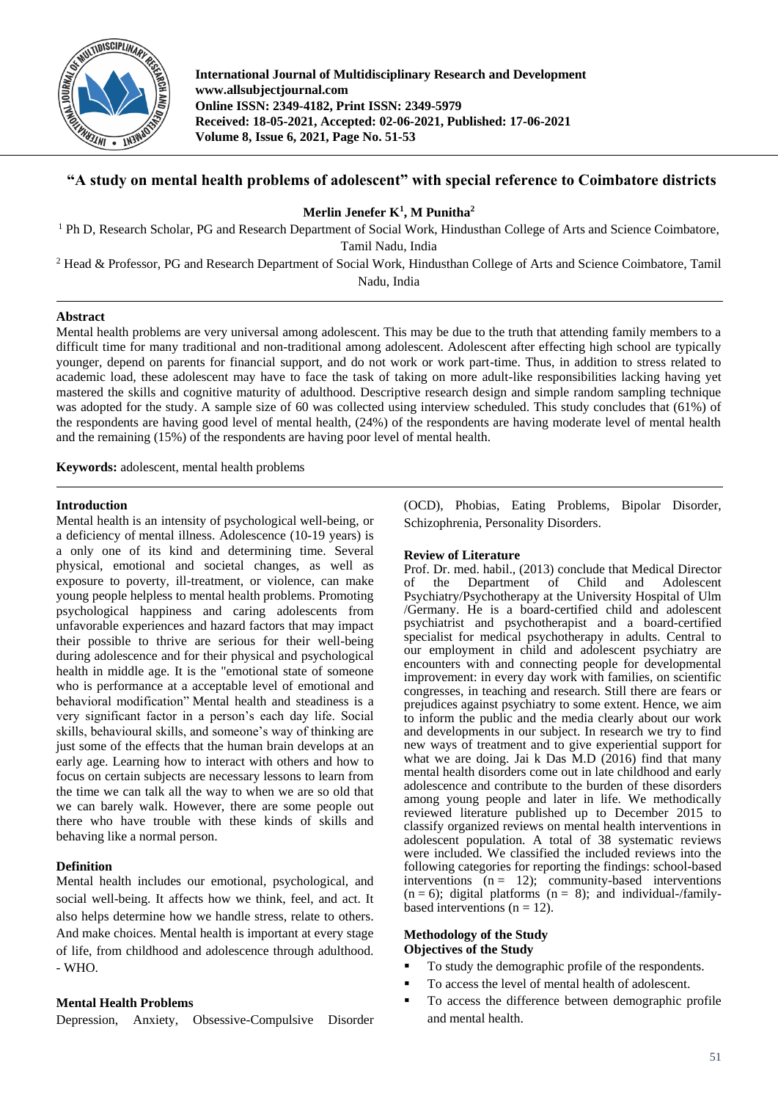

**International Journal of Multidisciplinary Research and Development www.allsubjectjournal.com Online ISSN: 2349-4182, Print ISSN: 2349-5979 Received: 18-05-2021, Accepted: 02-06-2021, Published: 17-06-2021 Volume 8, Issue 6, 2021, Page No. 51-53**

# **"A study on mental health problems of adolescent" with special reference to Coimbatore districts**

**Merlin Jenefer K<sup>1</sup> , M Punitha<sup>2</sup>**

<sup>1</sup> Ph D, Research Scholar, PG and Research Department of Social Work, Hindusthan College of Arts and Science Coimbatore, Tamil Nadu, India

<sup>2</sup> Head & Professor, PG and Research Department of Social Work, Hindusthan College of Arts and Science Coimbatore, Tamil Nadu, India

## **Abstract**

Mental health problems are very universal among adolescent. This may be due to the truth that attending family members to a difficult time for many traditional and non-traditional among adolescent. Adolescent after effecting high school are typically younger, depend on parents for financial support, and do not work or work part-time. Thus, in addition to stress related to academic load, these adolescent may have to face the task of taking on more adult-like responsibilities lacking having yet mastered the skills and cognitive maturity of adulthood. Descriptive research design and simple random sampling technique was adopted for the study. A sample size of 60 was collected using interview scheduled. This study concludes that (61%) of the respondents are having good level of mental health, (24%) of the respondents are having moderate level of mental health and the remaining (15%) of the respondents are having poor level of mental health.

**Keywords:** adolescent, mental health problems

## **Introduction**

Mental health is an intensity of psychological well-being, or a deficiency of mental illness. Adolescence (10-19 years) is a only one of its kind and determining time. Several physical, emotional and societal changes, as well as exposure to poverty, ill-treatment, or violence, can make young people helpless to mental health problems. Promoting psychological happiness and caring adolescents from unfavorable experiences and hazard factors that may impact their possible to thrive are serious for their well-being during adolescence and for their physical and psychological health in middle age. It is the "emotional state of someone who is performance at a acceptable level of emotional and behavioral modification" Mental health and steadiness is a very significant factor in a person's each day life. Social skills, behavioural skills, and someone's way of thinking are just some of the effects that the human brain develops at an early age. Learning how to interact with others and how to focus on certain subjects are necessary lessons to learn from the time we can talk all the way to when we are so old that we can barely walk. However, there are some people out there who have trouble with these kinds of skills and behaving like a normal person.

## **Definition**

Mental health includes our emotional, psychological, and social well-being. It affects how we think, feel, and act. It also helps determine how we handle stress, relate to others. And make choices. Mental health is important at every stage of life, from childhood and adolescence through adulthood. - WHO.

## **Mental Health Problems**

Depression, Anxiety, Obsessive-Compulsive Disorder

(OCD), Phobias, Eating Problems, Bipolar Disorder, Schizophrenia, Personality Disorders.

## **Review of Literature**

Prof. Dr. med. habil., (2013) conclude that Medical Director of the Department of Child and Adolescent Psychiatry/Psychotherapy at the University Hospital of Ulm /Germany. He is a board-certified child and adolescent psychiatrist and psychotherapist and a board-certified specialist for medical psychotherapy in adults. Central to our employment in child and adolescent psychiatry are encounters with and connecting people for developmental improvement: in every day work with families, on scientific congresses, in teaching and research. Still there are fears or prejudices against psychiatry to some extent. Hence, we aim to inform the public and the media clearly about our work and developments in our subject. In research we try to find new ways of treatment and to give experiential support for what we are doing. Jai k Das M.D (2016) find that many mental health disorders come out in late childhood and early adolescence and contribute to the burden of these disorders among young people and later in life. We methodically reviewed literature published up to December 2015 to classify organized reviews on mental health interventions in adolescent population. A total of 38 systematic reviews were included. We classified the included reviews into the following categories for reporting the findings: school-based interventions  $(n = 12)$ ; community-based interventions  $(n = 6)$ ; digital platforms  $(n = 8)$ ; and individual-/familybased interventions ( $n = 12$ ).

## **Methodology of the Study Objectives of the Study**

- To study the demographic profile of the respondents.
- To access the level of mental health of adolescent.
- To access the difference between demographic profile and mental health.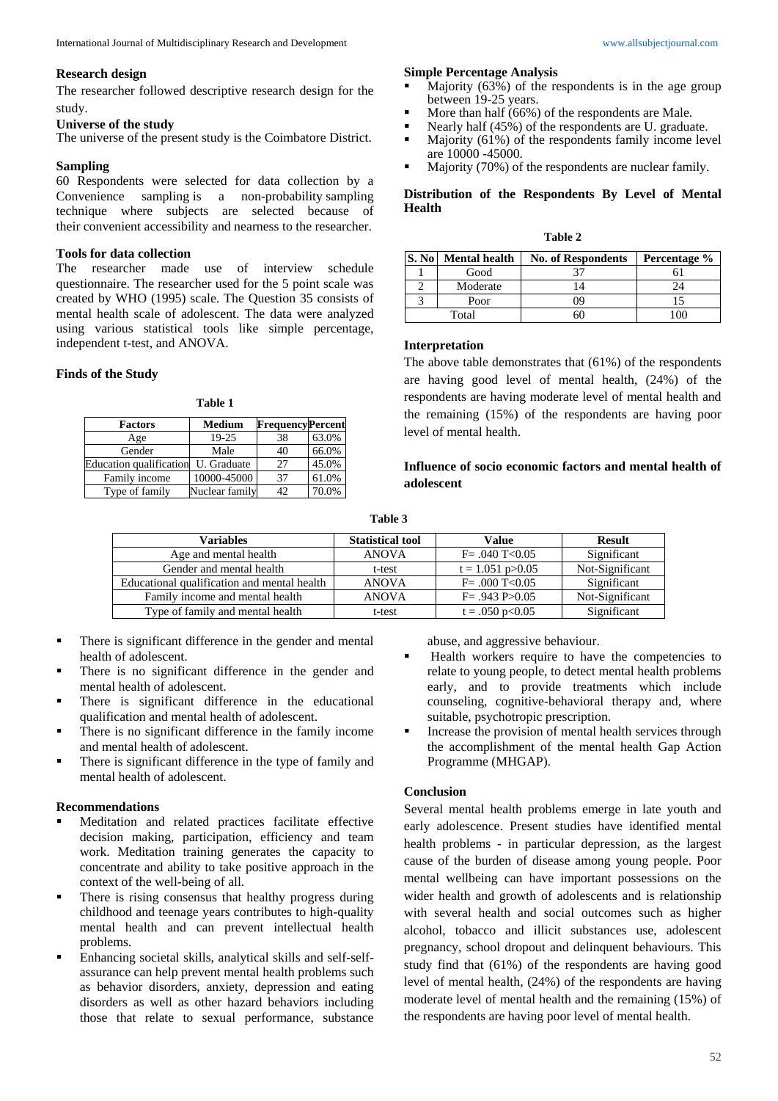## **Research design**

The researcher followed descriptive research design for the study.

#### **Universe of the study**

The universe of the present study is the Coimbatore District.

## **Sampling**

60 Respondents were selected for data collection by a Convenience sampling is a non-probability sampling technique where subjects are selected because of their convenient accessibility and nearness to the researcher.

## **Tools for data collection**

The researcher made use of interview schedule questionnaire. The researcher used for the 5 point scale was created by WHO (1995) scale. The Question 35 consists of mental health scale of adolescent. The data were analyzed using various statistical tools like simple percentage, independent t-test, and ANOVA.

## **Finds of the Study**

#### **Table 1**

| <b>Factors</b>                 | <b>Medium</b>  | <b>FrequencyPercent</b> |       |
|--------------------------------|----------------|-------------------------|-------|
| Age                            | 19-25          | 38                      | 63.0% |
| Gender                         | Male           | 40                      | 66.0% |
| <b>Education qualification</b> | U. Graduate    | 27                      | 45.0% |
| Family income                  | 10000-45000    | 37                      | 61.0% |
| Type of family                 | Nuclear family | 42                      | 70.0% |

# **Simple Percentage Analysis**

- Majority (63%) of the respondents is in the age group between 19-25 years.
- $\blacksquare$  More than half (66%) of the respondents are Male.
- 
- Nearly half  $(45%)$  of the respondents are U. graduate.<br>Majority  $(61%)$  of the respondents family income lev Majority (61%) of the respondents family income level are 10000 -45000.
- Majority (70%) of the respondents are nuclear family.

## **Distribution of the Respondents By Level of Mental Health**

| abie |  |
|------|--|
|------|--|

| S. No | <b>Mental health</b> | <b>No. of Respondents</b> | Percentage % |
|-------|----------------------|---------------------------|--------------|
|       | Good                 |                           |              |
|       | Moderate             |                           | 74           |
|       | Poor                 | 09                        |              |
|       | Total                |                           |              |

## **Interpretation**

The above table demonstrates that (61%) of the respondents are having good level of mental health, (24%) of the respondents are having moderate level of mental health and the remaining (15%) of the respondents are having poor level of mental health.

## **Influence of socio economic factors and mental health of adolescent**

**Table 3**

| <b>Variables</b>                            | <b>Statistical tool</b> | Value                  | <b>Result</b>   |
|---------------------------------------------|-------------------------|------------------------|-----------------|
| Age and mental health                       | <b>ANOVA</b>            | $F = .040$ T < 0.05    | Significant     |
| Gender and mental health                    | t-test                  | $t = 1.051$ p $> 0.05$ | Not-Significant |
| Educational qualification and mental health | <b>ANOVA</b>            | $F = .000$ T<0.05      | Significant     |
| Family income and mental health             | <b>ANOVA</b>            | $F = .943 P > 0.05$    | Not-Significant |
| Type of family and mental health            | t-test                  | $t = .050$ p<0.05      | Significant     |

- There is significant difference in the gender and mental health of adolescent.
- There is no significant difference in the gender and mental health of adolescent.
- There is significant difference in the educational qualification and mental health of adolescent.
- There is no significant difference in the family income and mental health of adolescent.
- There is significant difference in the type of family and mental health of adolescent.

## **Recommendations**

- Meditation and related practices facilitate effective decision making, participation, efficiency and team work. Meditation training generates the capacity to concentrate and ability to take positive approach in the context of the well-being of all.
- There is rising consensus that healthy progress during childhood and teenage years contributes to high-quality mental health and can prevent intellectual health problems.
- Enhancing societal skills, analytical skills and self-selfassurance can help prevent mental health problems such as behavior disorders, anxiety, depression and eating disorders as well as other hazard behaviors including those that relate to sexual performance, substance

abuse, and aggressive behaviour.

- Health workers require to have the competencies to relate to young people, to detect mental health problems early, and to provide treatments which include counseling, cognitive-behavioral therapy and, where suitable, psychotropic prescription.
- Increase the provision of mental health services through the accomplishment of the mental health Gap Action Programme (MHGAP).

## **Conclusion**

Several mental health problems emerge in late youth and early adolescence. Present studies have identified mental health problems - in particular depression, as the largest cause of the burden of disease among young people. Poor mental wellbeing can have important possessions on the wider health and growth of adolescents and is relationship with several health and social outcomes such as higher alcohol, tobacco and illicit substances use, adolescent pregnancy, school dropout and delinquent behaviours. This study find that (61%) of the respondents are having good level of mental health, (24%) of the respondents are having moderate level of mental health and the remaining (15%) of the respondents are having poor level of mental health.